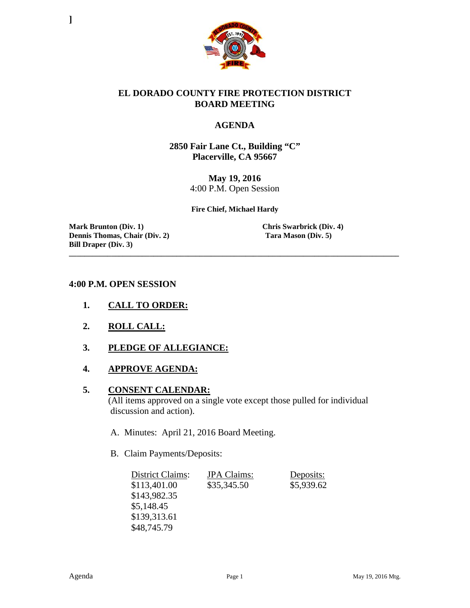

#### **EL DORADO COUNTY FIRE PROTECTION DISTRICT BOARD MEETING**

#### **AGENDA**

**2850 Fair Lane Ct., Building "C" Placerville, CA 95667**

> **May 19, 2016** 4:00 P.M. Open Session

**Fire Chief, Michael Hardy**

**\_\_\_\_\_\_\_\_\_\_\_\_\_\_\_\_\_\_\_\_\_\_\_\_\_\_\_\_\_\_\_\_\_\_\_\_\_\_\_\_\_\_\_\_\_\_\_\_\_\_\_\_\_\_\_\_\_\_\_\_\_\_\_\_\_\_\_\_\_\_\_\_\_\_\_\_\_\_\_\_\_\_\_\_\_\_**

**Mark Brunton (Div. 1)**<br> **Chris Swarbrick (Div. 4)**<br> **Chris Swarbrick (Div. 4)**<br> **Chris Swarbrick (Div. 4)**<br> **Chris Swarbrick (Div. 4) Dennis Thomas, Chair (Div. 2) Bill Draper (Div. 3)**

**]**

#### **4:00 P.M. OPEN SESSION**

- **1. CALL TO ORDER:**
- **2. ROLL CALL:**
- **3. PLEDGE OF ALLEGIANCE:**
- **4. APPROVE AGENDA:**

#### **5. CONSENT CALENDAR:**

 (All items approved on a single vote except those pulled for individual discussion and action).

- A. Minutes: April 21, 2016 Board Meeting.
- B. Claim Payments/Deposits:

| District Claims: | <b>JPA</b> Claims: | Deposits:  |
|------------------|--------------------|------------|
| \$113,401.00     | \$35,345.50        | \$5,939.62 |
| \$143,982.35     |                    |            |
| \$5,148.45       |                    |            |
| \$139,313.61     |                    |            |
| \$48,745.79      |                    |            |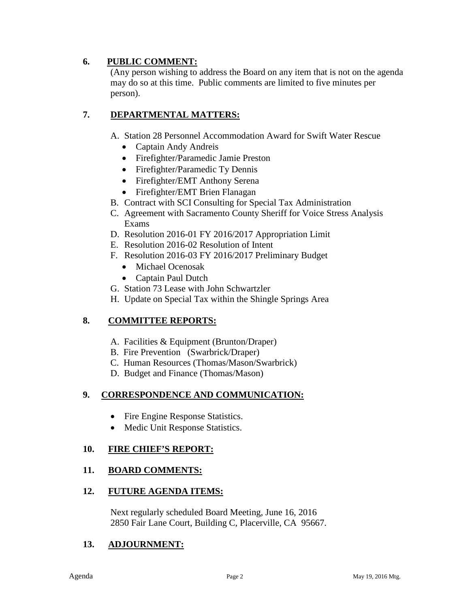## **6. PUBLIC COMMENT:**

(Any person wishing to address the Board on any item that is not on the agenda may do so at this time. Public comments are limited to five minutes per person).

# **7. DEPARTMENTAL MATTERS:**

A. Station 28 Personnel Accommodation Award for Swift Water Rescue

- Captain Andy Andreis
- Firefighter/Paramedic Jamie Preston
- Firefighter/Paramedic Ty Dennis
- Firefighter/EMT Anthony Serena
- Firefighter/EMT Brien Flanagan
- B. Contract with SCI Consulting for Special Tax Administration
- C. Agreement with Sacramento County Sheriff for Voice Stress Analysis Exams
- D. Resolution 2016-01 FY 2016/2017 Appropriation Limit
- E. Resolution 2016-02 Resolution of Intent
- F. Resolution 2016-03 FY 2016/2017 Preliminary Budget
	- Michael Ocenosak
	- Captain Paul Dutch
- G. Station 73 Lease with John Schwartzler
- H. Update on Special Tax within the Shingle Springs Area

# **8. COMMITTEE REPORTS:**

- A. Facilities & Equipment (Brunton/Draper)
- B. Fire Prevention (Swarbrick/Draper)
- C. Human Resources (Thomas/Mason/Swarbrick)
- D. Budget and Finance (Thomas/Mason)

# **9. CORRESPONDENCE AND COMMUNICATION:**

- Fire Engine Response Statistics.
- Medic Unit Response Statistics.

## **10. FIRE CHIEF'S REPORT:**

## **11. BOARD COMMENTS:**

## **12. FUTURE AGENDA ITEMS:**

 Next regularly scheduled Board Meeting, June 16, 2016 2850 Fair Lane Court, Building C, Placerville, CA 95667.

## **13. ADJOURNMENT:**